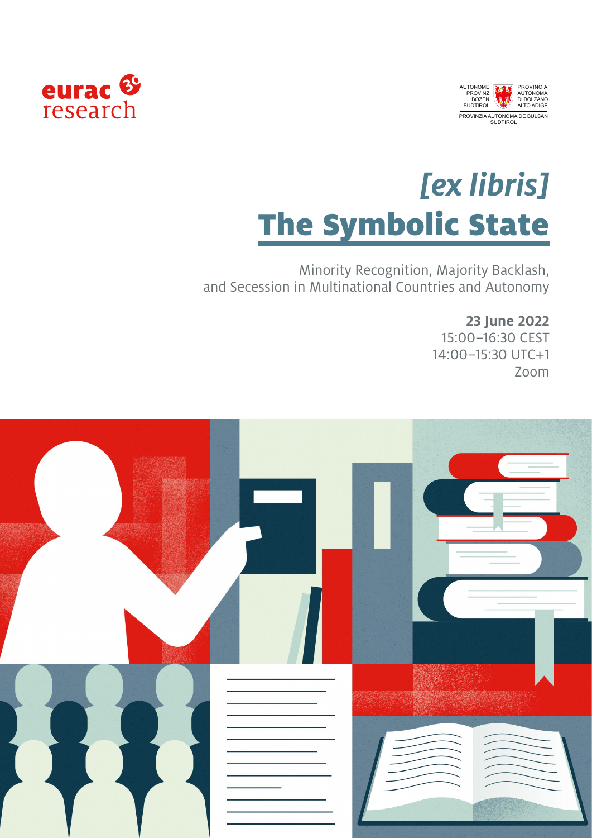



## *[ex libris]*  **The Symbolic State**

Minority Recognition, Majority Backlash, and Secession in Multinational Countries and Autonomy

**23 June 2022**

15:00–16:30 CEST 14:00–15:30 UTC+1 Zoom